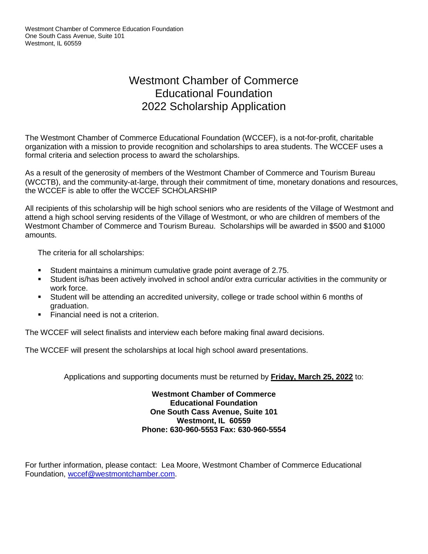## Westmont Chamber of Commerce Educational Foundation 2022 Scholarship Application

The Westmont Chamber of Commerce Educational Foundation (WCCEF), is a not-for-profit, charitable organization with a mission to provide recognition and scholarships to area students. The WCCEF uses a formal criteria and selection process to award the scholarships.

As a result of the generosity of members of the Westmont Chamber of Commerce and Tourism Bureau (WCCTB), and the community-at-large, through their commitment of time, monetary donations and resources, the WCCEF is able to offer the WCCEF SCHOLARSHIP

All recipients of this scholarship will be high school seniors who are residents of the Village of Westmont and attend a high school serving residents of the Village of Westmont, or who are children of members of the Westmont Chamber of Commerce and Tourism Bureau. Scholarships will be awarded in \$500 and \$1000 amounts.

The criteria for all scholarships:

- Student maintains a minimum cumulative grade point average of 2.75.
- Student is/has been actively involved in school and/or extra curricular activities in the community or work force.
- Student will be attending an accredited university, college or trade school within 6 months of graduation.
- **Example 1** Financial need is not a criterion.

The WCCEF will select finalists and interview each before making final award decisions.

The WCCEF will present the scholarships at local high school award presentations.

Applications and supporting documents must be returned by **Friday, March 25, 2022** to:

**Westmont Chamber of Commerce Educational Foundation One South Cass Avenue, Suite 101 Westmont, IL 60559 Phone: 630-960-5553 Fax: 630-960-5554**

For further information, please contact: Lea Moore, Westmont Chamber of Commerce Educational Foundation, [wccef@westmontchamber.com.](mailto:wccef@westmontchamber.com)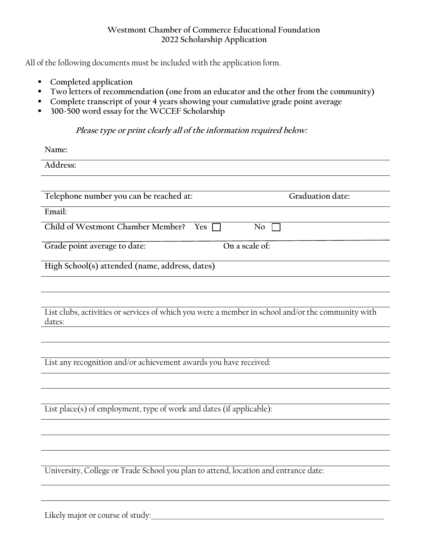## **Westmont Chamber of Commerce Educational Foundation 2022 Scholarship Application**

All of the following documents must be included with the application form.

- **Completed application**
- **Two letters of recommendation (one from an educator and the other from the community)**
- **Complete transcript of your 4 years showing your cumulative grade point average**
- **300-500 word essay for the WCCEF Scholarship**

## **Please type or print clearly all of the information required below:**

| Name:                                                                                                       |  |  |
|-------------------------------------------------------------------------------------------------------------|--|--|
| Address:                                                                                                    |  |  |
|                                                                                                             |  |  |
| Telephone number you can be reached at:<br>Graduation date:                                                 |  |  |
| Email:                                                                                                      |  |  |
| Child of Westmont Chamber Member? Yes<br>No.                                                                |  |  |
| On a scale of:<br>Grade point average to date:                                                              |  |  |
| High School(s) attended (name, address, dates)                                                              |  |  |
|                                                                                                             |  |  |
|                                                                                                             |  |  |
| List clubs, activities or services of which you were a member in school and/or the community with<br>dates: |  |  |
|                                                                                                             |  |  |
|                                                                                                             |  |  |
| List any recognition and/or achievement awards you have received:                                           |  |  |
|                                                                                                             |  |  |
|                                                                                                             |  |  |
| List place(s) of employment, type of work and dates (if applicable):                                        |  |  |
|                                                                                                             |  |  |
|                                                                                                             |  |  |
|                                                                                                             |  |  |
| University, College or Trade School you plan to attend, location and entrance date:                         |  |  |
|                                                                                                             |  |  |
|                                                                                                             |  |  |

Likely major or course of study: